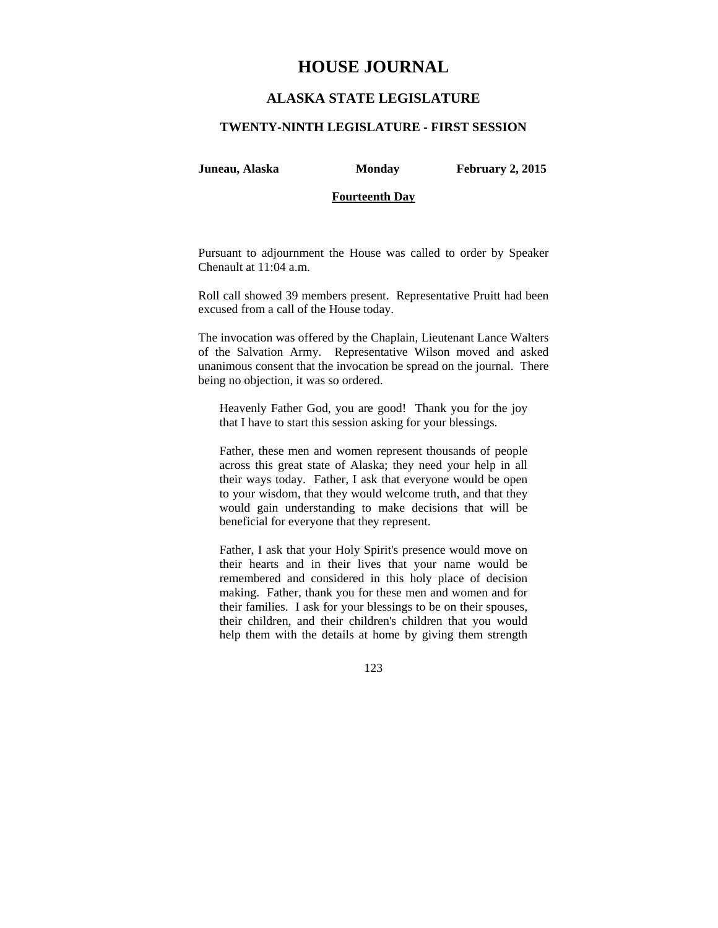# **HOUSE JOURNAL**

## **ALASKA STATE LEGISLATURE**

#### **TWENTY-NINTH LEGISLATURE - FIRST SESSION**

**Juneau, Alaska Monday February 2, 2015** 

#### **Fourteenth Day**

Pursuant to adjournment the House was called to order by Speaker Chenault at 11:04 a.m.

Roll call showed 39 members present. Representative Pruitt had been excused from a call of the House today.

The invocation was offered by the Chaplain, Lieutenant Lance Walters of the Salvation Army. Representative Wilson moved and asked unanimous consent that the invocation be spread on the journal. There being no objection, it was so ordered.

Heavenly Father God, you are good! Thank you for the joy that I have to start this session asking for your blessings.

Father, these men and women represent thousands of people across this great state of Alaska; they need your help in all their ways today. Father, I ask that everyone would be open to your wisdom, that they would welcome truth, and that they would gain understanding to make decisions that will be beneficial for everyone that they represent.

Father, I ask that your Holy Spirit's presence would move on their hearts and in their lives that your name would be remembered and considered in this holy place of decision making. Father, thank you for these men and women and for their families. I ask for your blessings to be on their spouses, their children, and their children's children that you would help them with the details at home by giving them strength

123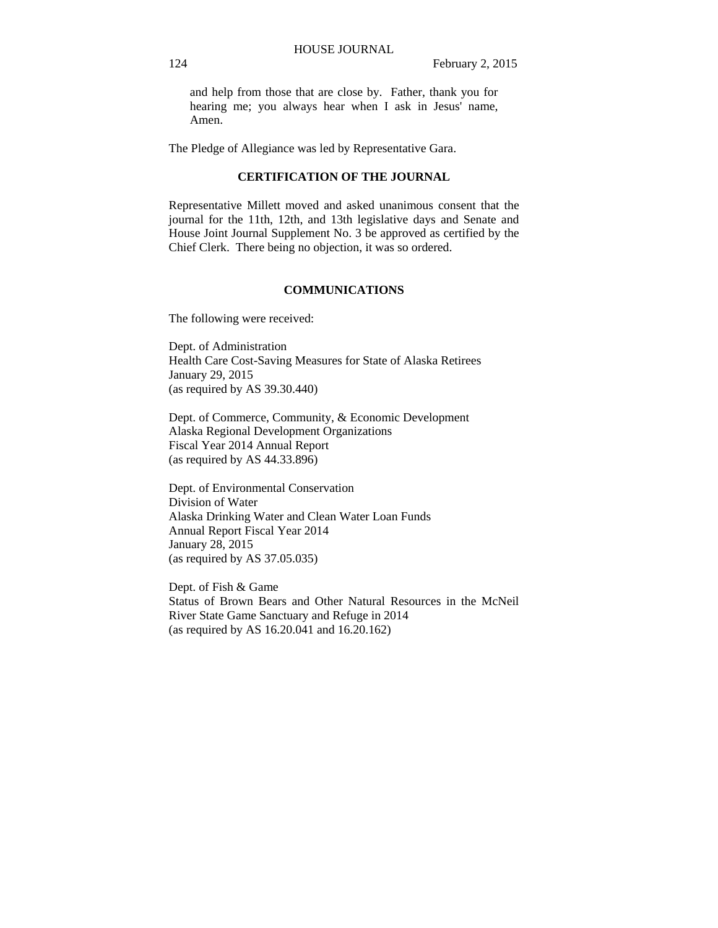and help from those that are close by. Father, thank you for hearing me; you always hear when I ask in Jesus' name, Amen.

The Pledge of Allegiance was led by Representative Gara.

#### **CERTIFICATION OF THE JOURNAL**

Representative Millett moved and asked unanimous consent that the journal for the 11th, 12th, and 13th legislative days and Senate and House Joint Journal Supplement No. 3 be approved as certified by the Chief Clerk. There being no objection, it was so ordered.

#### **COMMUNICATIONS**

The following were received:

Dept. of Administration Health Care Cost-Saving Measures for State of Alaska Retirees January 29, 2015 (as required by AS 39.30.440)

Dept. of Commerce, Community, & Economic Development Alaska Regional Development Organizations Fiscal Year 2014 Annual Report (as required by AS 44.33.896)

Dept. of Environmental Conservation Division of Water Alaska Drinking Water and Clean Water Loan Funds Annual Report Fiscal Year 2014 January 28, 2015 (as required by AS 37.05.035)

Dept. of Fish & Game Status of Brown Bears and Other Natural Resources in the McNeil River State Game Sanctuary and Refuge in 2014 (as required by AS 16.20.041 and 16.20.162)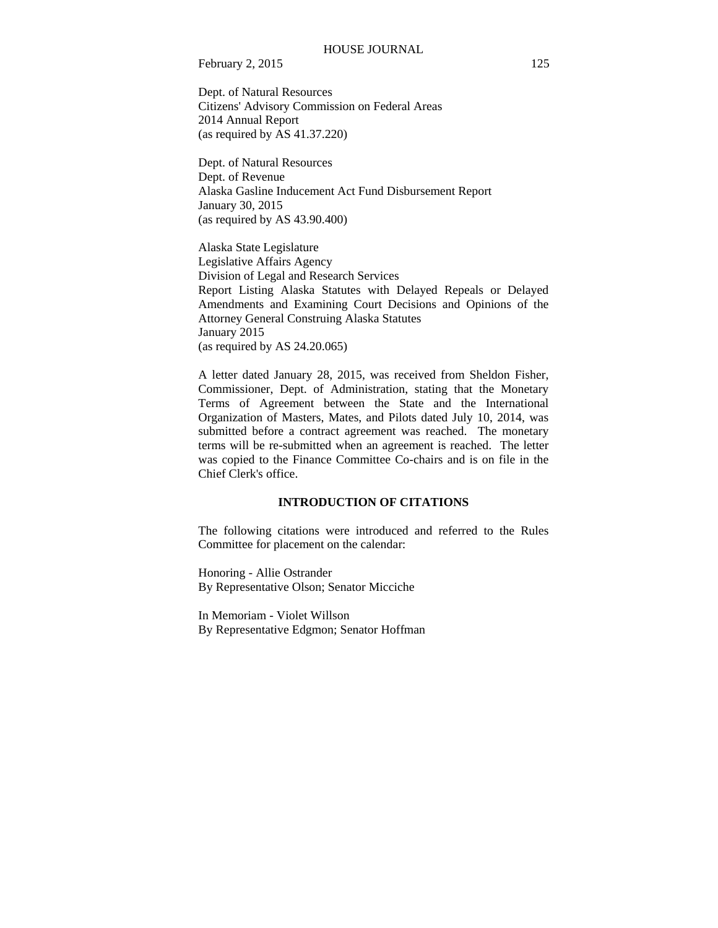February 2, 2015 125

Dept. of Natural Resources Citizens' Advisory Commission on Federal Areas 2014 Annual Report (as required by AS 41.37.220)

Dept. of Natural Resources Dept. of Revenue Alaska Gasline Inducement Act Fund Disbursement Report January 30, 2015 (as required by AS 43.90.400)

Alaska State Legislature Legislative Affairs Agency Division of Legal and Research Services Report Listing Alaska Statutes with Delayed Repeals or Delayed Amendments and Examining Court Decisions and Opinions of the Attorney General Construing Alaska Statutes January 2015 (as required by AS 24.20.065)

A letter dated January 28, 2015, was received from Sheldon Fisher, Commissioner, Dept. of Administration, stating that the Monetary Terms of Agreement between the State and the International Organization of Masters, Mates, and Pilots dated July 10, 2014, was submitted before a contract agreement was reached. The monetary terms will be re-submitted when an agreement is reached. The letter was copied to the Finance Committee Co-chairs and is on file in the Chief Clerk's office.

## **INTRODUCTION OF CITATIONS**

The following citations were introduced and referred to the Rules Committee for placement on the calendar:

Honoring - Allie Ostrander By Representative Olson; Senator Micciche

In Memoriam - Violet Willson By Representative Edgmon; Senator Hoffman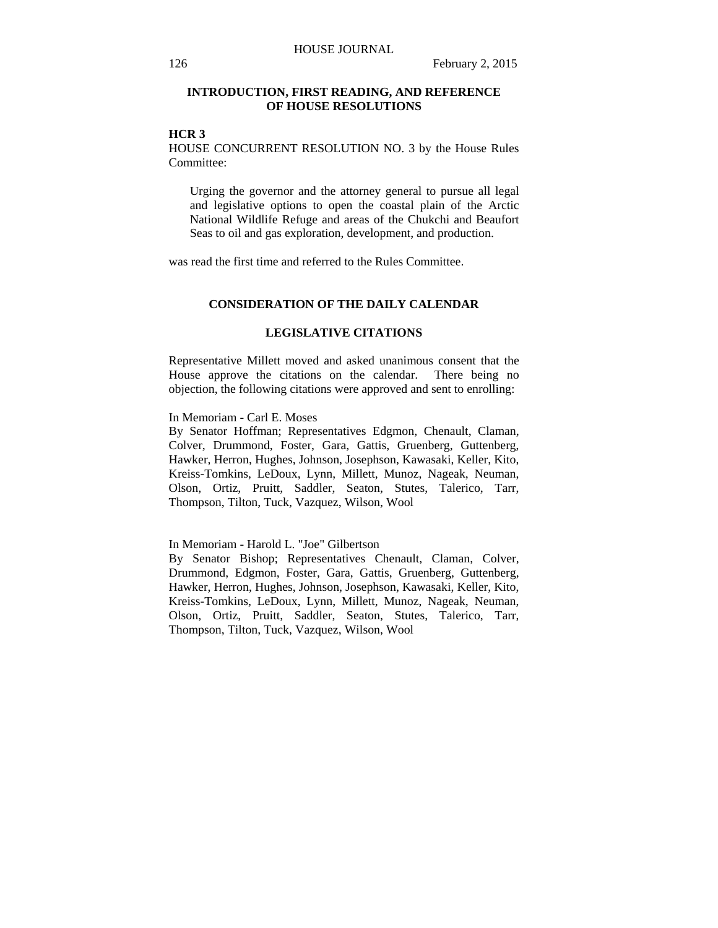### **INTRODUCTION, FIRST READING, AND REFERENCE OF HOUSE RESOLUTIONS**

## **HCR 3**

HOUSE CONCURRENT RESOLUTION NO. 3 by the House Rules Committee:

Urging the governor and the attorney general to pursue all legal and legislative options to open the coastal plain of the Arctic National Wildlife Refuge and areas of the Chukchi and Beaufort Seas to oil and gas exploration, development, and production.

was read the first time and referred to the Rules Committee.

#### **CONSIDERATION OF THE DAILY CALENDAR**

## **LEGISLATIVE CITATIONS**

Representative Millett moved and asked unanimous consent that the House approve the citations on the calendar. There being no objection, the following citations were approved and sent to enrolling:

In Memoriam - Carl E. Moses

By Senator Hoffman; Representatives Edgmon, Chenault, Claman, Colver, Drummond, Foster, Gara, Gattis, Gruenberg, Guttenberg, Hawker, Herron, Hughes, Johnson, Josephson, Kawasaki, Keller, Kito, Kreiss-Tomkins, LeDoux, Lynn, Millett, Munoz, Nageak, Neuman, Olson, Ortiz, Pruitt, Saddler, Seaton, Stutes, Talerico, Tarr, Thompson, Tilton, Tuck, Vazquez, Wilson, Wool

In Memoriam - Harold L. "Joe" Gilbertson

By Senator Bishop; Representatives Chenault, Claman, Colver, Drummond, Edgmon, Foster, Gara, Gattis, Gruenberg, Guttenberg, Hawker, Herron, Hughes, Johnson, Josephson, Kawasaki, Keller, Kito, Kreiss-Tomkins, LeDoux, Lynn, Millett, Munoz, Nageak, Neuman, Olson, Ortiz, Pruitt, Saddler, Seaton, Stutes, Talerico, Tarr, Thompson, Tilton, Tuck, Vazquez, Wilson, Wool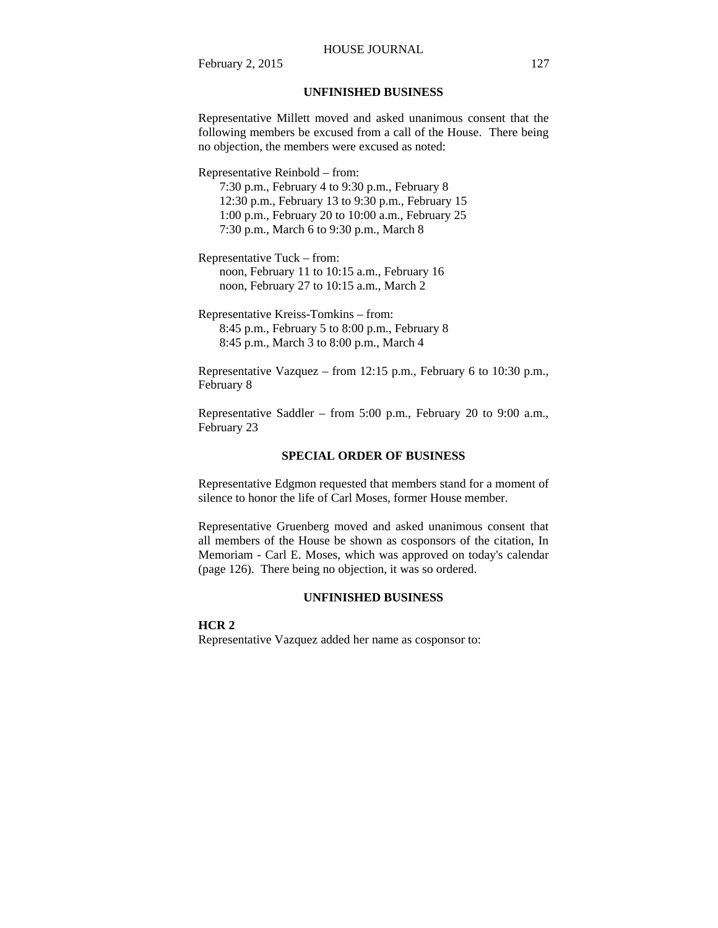#### HOUSE JOURNAL

February 2, 2015 127

### **UNFINISHED BUSINESS**

Representative Millett moved and asked unanimous consent that the following members be excused from a call of the House. There being no objection, the members were excused as noted:

Representative Reinbold – from:

7:30 p.m., February 4 to 9:30 p.m., February 8 12:30 p.m., February 13 to 9:30 p.m., February 15 1:00 p.m., February 20 to 10:00 a.m., February 25 7:30 p.m., March 6 to 9:30 p.m., March 8

Representative Tuck – from: noon, February 11 to 10:15 a.m., February 16 noon, February 27 to 10:15 a.m., March 2

Representative Kreiss-Tomkins – from: 8:45 p.m., February 5 to 8:00 p.m., February 8 8:45 p.m., March 3 to 8:00 p.m., March 4

Representative Vazquez – from 12:15 p.m., February 6 to 10:30 p.m., February 8

Representative Saddler – from 5:00 p.m., February 20 to 9:00 a.m., February 23

#### **SPECIAL ORDER OF BUSINESS**

Representative Edgmon requested that members stand for a moment of silence to honor the life of Carl Moses, former House member.

Representative Gruenberg moved and asked unanimous consent that all members of the House be shown as cosponsors of the citation, In Memoriam - Carl E. Moses, which was approved on today's calendar (page 126). There being no objection, it was so ordered.

#### **UNFINISHED BUSINESS**

#### **HCR 2**

Representative Vazquez added her name as cosponsor to: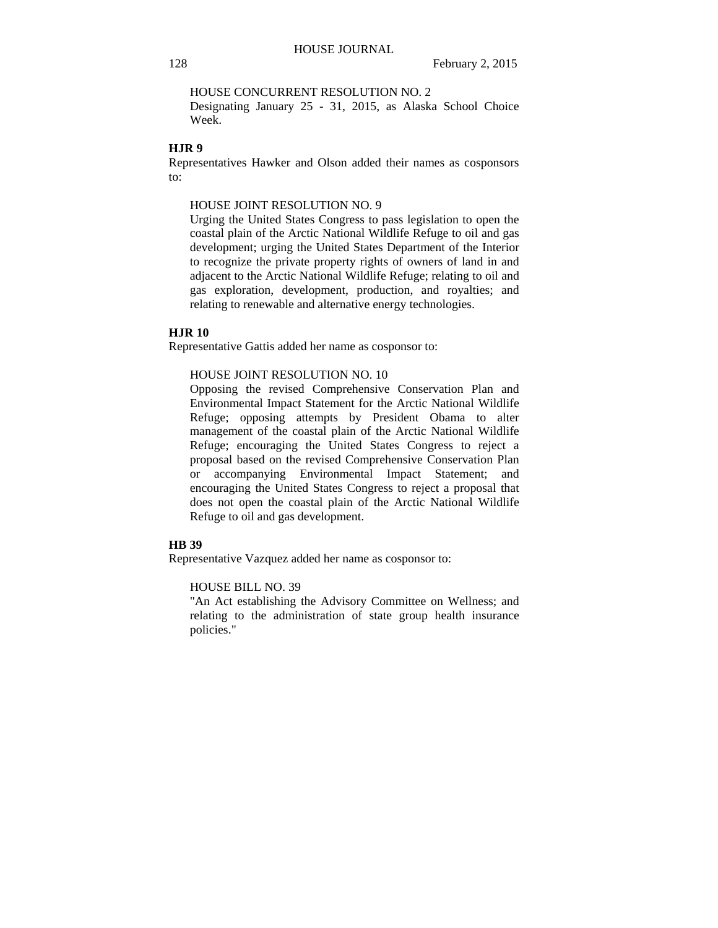HOUSE CONCURRENT RESOLUTION NO. 2

Designating January 25 - 31, 2015, as Alaska School Choice Week.

#### **HJR 9**

Representatives Hawker and Olson added their names as cosponsors to:

#### HOUSE JOINT RESOLUTION NO. 9

Urging the United States Congress to pass legislation to open the coastal plain of the Arctic National Wildlife Refuge to oil and gas development; urging the United States Department of the Interior to recognize the private property rights of owners of land in and adjacent to the Arctic National Wildlife Refuge; relating to oil and gas exploration, development, production, and royalties; and relating to renewable and alternative energy technologies.

#### **HJR 10**

Representative Gattis added her name as cosponsor to:

#### HOUSE JOINT RESOLUTION NO. 10

Opposing the revised Comprehensive Conservation Plan and Environmental Impact Statement for the Arctic National Wildlife Refuge; opposing attempts by President Obama to alter management of the coastal plain of the Arctic National Wildlife Refuge; encouraging the United States Congress to reject a proposal based on the revised Comprehensive Conservation Plan or accompanying Environmental Impact Statement; and encouraging the United States Congress to reject a proposal that does not open the coastal plain of the Arctic National Wildlife Refuge to oil and gas development.

#### **HB 39**

Representative Vazquez added her name as cosponsor to:

#### HOUSE BILL NO. 39

"An Act establishing the Advisory Committee on Wellness; and relating to the administration of state group health insurance policies."